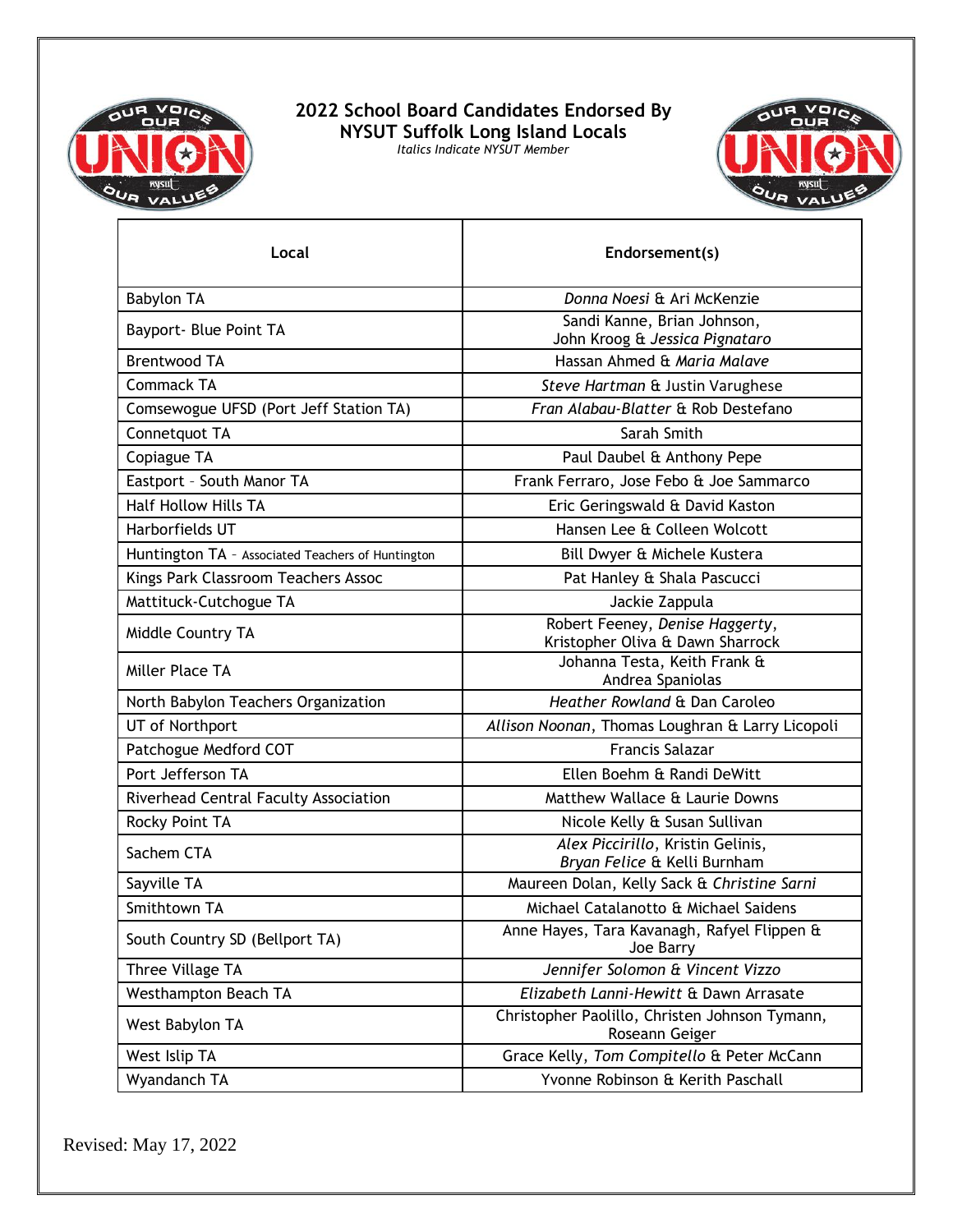

**2022 School Board Candidates Endorsed By NYSUT Suffolk Long Island Locals** *Italics Indicate NYSUT Member*



| Local                                             | Endorsement(s)                                                      |
|---------------------------------------------------|---------------------------------------------------------------------|
| <b>Babylon TA</b>                                 | Donna Noesi & Ari McKenzie                                          |
| Bayport- Blue Point TA                            | Sandi Kanne, Brian Johnson,<br>John Kroog & Jessica Pignataro       |
| <b>Brentwood TA</b>                               | Hassan Ahmed & Maria Malave                                         |
| <b>Commack TA</b>                                 | Steve Hartman & Justin Varughese                                    |
| Comsewogue UFSD (Port Jeff Station TA)            | Fran Alabau-Blatter & Rob Destefano                                 |
| Connetquot TA                                     | Sarah Smith                                                         |
| Copiague TA                                       | Paul Daubel & Anthony Pepe                                          |
| Eastport - South Manor TA                         | Frank Ferraro, Jose Febo & Joe Sammarco                             |
| <b>Half Hollow Hills TA</b>                       | Eric Geringswald & David Kaston                                     |
| Harborfields UT                                   | Hansen Lee & Colleen Wolcott                                        |
| Huntington TA - Associated Teachers of Huntington | Bill Dwyer & Michele Kustera                                        |
| Kings Park Classroom Teachers Assoc               | Pat Hanley & Shala Pascucci                                         |
| Mattituck-Cutchogue TA                            | Jackie Zappula                                                      |
| Middle Country TA                                 | Robert Feeney, Denise Haggerty,<br>Kristopher Oliva & Dawn Sharrock |
| Miller Place TA                                   | Johanna Testa, Keith Frank &<br>Andrea Spaniolas                    |
| North Babylon Teachers Organization               | Heather Rowland & Dan Caroleo                                       |
| UT of Northport                                   | Allison Noonan, Thomas Loughran & Larry Licopoli                    |
| Patchogue Medford COT                             | <b>Francis Salazar</b>                                              |
| Port Jefferson TA                                 | Ellen Boehm & Randi DeWitt                                          |
| Riverhead Central Faculty Association             | Matthew Wallace & Laurie Downs                                      |
| Rocky Point TA                                    | Nicole Kelly & Susan Sullivan                                       |
| Sachem CTA                                        | Alex Piccirillo, Kristin Gelinis,<br>Bryan Felice & Kelli Burnham   |
| Sayville TA                                       | Maureen Dolan, Kelly Sack & Christine Sarni                         |
| Smithtown TA                                      | Michael Catalanotto & Michael Saidens                               |
| South Country SD (Bellport TA)                    | Anne Hayes, Tara Kavanagh, Rafyel Flippen &<br>Joe Barry            |
| Three Village TA                                  | Jennifer Solomon & Vincent Vizzo                                    |
| <b>Westhampton Beach TA</b>                       | Elizabeth Lanni-Hewitt & Dawn Arrasate                              |
| West Babylon TA                                   | Christopher Paolillo, Christen Johnson Tymann,<br>Roseann Geiger    |
| West Islip TA                                     | Grace Kelly, Tom Compitello & Peter McCann                          |
| Wyandanch TA                                      | Yvonne Robinson & Kerith Paschall                                   |

Revised: May 17, 2022